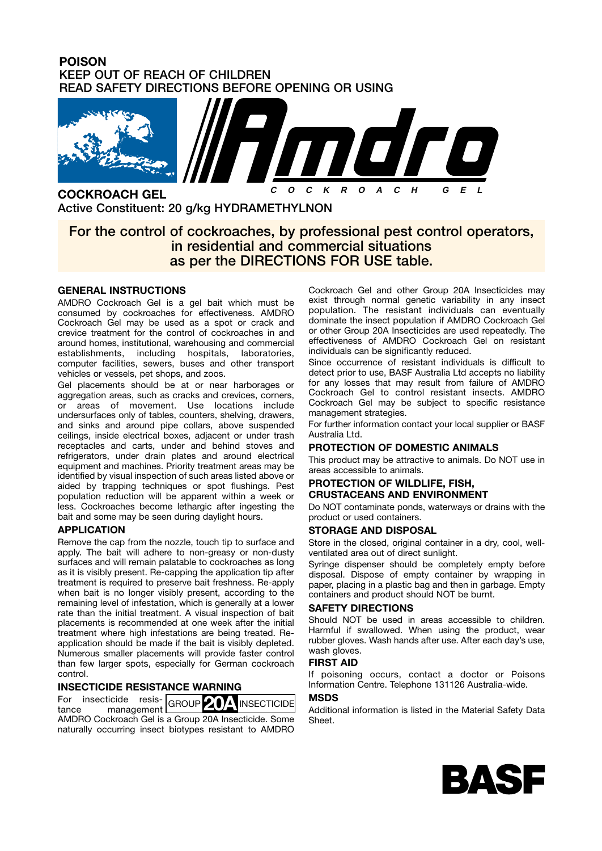## **POISON KEEP OUT OF REACH OF CHILDREN READ SAFETY DIRECTIONS BEFORE OPENING OR USING**



**COCKROACH GEL Active Constituent: 20 g/kg HYDRAMETHYLNON**

# **For the control of cockroaches, by professional pest control operators, in residential and commercial situations as per the DIRECTIONS FOR USE table.**

### **GENERAL INSTRUCTIONS**

AMDRO Cockroach Gel is a gel bait which must be consumed by cockroaches for effectiveness. AMDRO Cockroach Gel may be used as a spot or crack and crevice treatment for the control of cockroaches in and around homes, institutional, warehousing and commercial establishments, including hospitals, laboratories, computer facilities, sewers, buses and other transport vehicles or vessels, pet shops, and zoos.

Gel placements should be at or near harborages or aggregation areas, such as cracks and crevices, corners, or areas of movement. Use locations include undersurfaces only of tables, counters, shelving, drawers, and sinks and around pipe collars, above suspended ceilings, inside electrical boxes, adjacent or under trash receptacles and carts, under and behind stoves and refrigerators, under drain plates and around electrical equipment and machines. Priority treatment areas may be identified by visual inspection of such areas listed above or aided by trapping techniques or spot flushings. Pest population reduction will be apparent within a week or less. Cockroaches become lethargic after ingesting the bait and some may be seen during daylight hours.

#### **APPLICATION**

Remove the cap from the nozzle, touch tip to surface and apply. The bait will adhere to non-greasy or non-dusty surfaces and will remain palatable to cockroaches as long as it is visibly present. Re-capping the application tip after treatment is required to preserve bait freshness. Re-apply when bait is no longer visibly present, according to the remaining level of infestation, which is generally at a lower rate than the initial treatment. A visual inspection of bait placements is recommended at one week after the initial treatment where high infestations are being treated. Reapplication should be made if the bait is visibly depleted. Numerous smaller placements will provide faster control than few larger spots, especially for German cockroach control.

### **INSECTICIDE RESISTANCE WARNING**

For insecticide resis-For insecticide resis-<br>tance management GROUP **20A** INSECTICIDE AMDRO Cockroach Gel is a Group 20A Insecticide. Some naturally occurring insect biotypes resistant to AMDRO Cockroach Gel and other Group 20A Insecticides may exist through normal genetic variability in any insect population. The resistant individuals can eventually dominate the insect population if AMDRO Cockroach Gel or other Group 20A Insecticides are used repeatedly. The effectiveness of AMDRO Cockroach Gel on resistant individuals can be significantly reduced.

Since occurrence of resistant individuals is difficult to detect prior to use, BASF Australia Ltd accepts no liability for any losses that may result from failure of AMDRO Cockroach Gel to control resistant insects. AMDRO Cockroach Gel may be subject to specific resistance management strategies.

For further information contact your local supplier or BASF Australia Ltd.

### **PROTECTION OF DOMESTIC ANIMALS**

This product may be attractive to animals. Do NOT use in areas accessible to animals.

#### **PROTECTION OF WILDLIFE, FISH, CRUSTACEANS AND ENVIRONMENT**

Do NOT contaminate ponds, waterways or drains with the product or used containers.

#### **STORAGE AND DISPOSAL**

Store in the closed, original container in a dry, cool, wellventilated area out of direct sunlight.

Syringe dispenser should be completely empty before disposal. Dispose of empty container by wrapping in paper, placing in a plastic bag and then in garbage. Empty containers and product should NOT be burnt.

### **SAFETY DIRECTIONS**

Should NOT be used in areas accessible to children. Harmful if swallowed. When using the product, wear rubber gloves. Wash hands after use. After each day's use, wash gloves.

## **FIRST AID**

If poisoning occurs, contact a doctor or Poisons Information Centre. Telephone 131126 Australia-wide.

#### **MSDS**

Additional information is listed in the Material Safety Data Sheet.